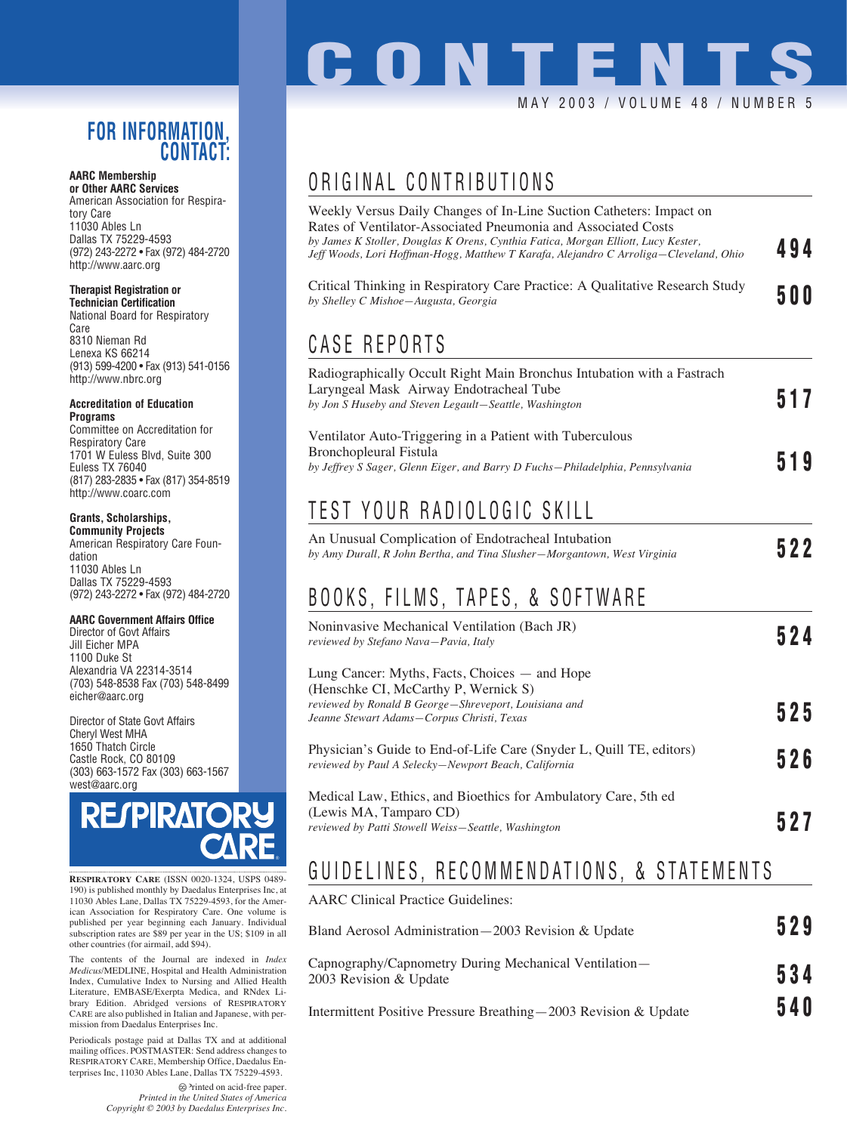### **FOR INFORMATION, CONTACT:**

#### **AARC Membership or Other AARC Services**

American Association for Respiratory Care 11030 Ables Ln Dallas TX 75229-4593 (972) 243-2272 • Fax (972) 484-2720 http://www.aarc.org

#### **Therapist Registration or**

**Technician Certification** National Board for Respiratory Care 8310 Nieman Rd Lenexa KS 66214 (913) 599-4200 • Fax (913) 541-0156 http://www.nbrc.org

#### **Accreditation of Education Programs**

Committee on Accreditation for Respiratory Care 1701 W Euless Blvd, Suite 300 Euless TX 76040 (817) 283-2835 • Fax (817) 354-8519 http://www.coarc.com

### **Grants, Scholarships,**

**Community Projects** American Respiratory Care Foundation 11030 Ables Ln Dallas TX 75229-4593 (972) 243-2272 • Fax (972) 484-2720

#### **AARC Government Affairs Office**

Director of Govt Affairs Jill Eicher MPA 1100 Duke St Alexandria VA 22314-3514 (703) 548-8538 Fax (703) 548-8499 eicher@aarc.org

Director of State Govt Affairs Cheryl West MHA 1650 Thatch Circle Castle Rock, CO 80109 (303) 663-1572 Fax (303) 663-1567 west@aarc.org



**RESPIRATORY CARE** (ISSN 0020-1324, USPS 0489- 190) is published monthly by Daedalus Enterprises Inc, at 11030 Ables Lane, Dallas TX 75229-4593, for the American Association for Respiratory Care. One volume is published per year beginning each January. Individual subscription rates are \$89 per year in the US; \$109 in all other countries (for airmail, add \$94).

The contents of the Journal are indexed in *Index Medicus*/MEDLINE, Hospital and Health Administration Index, Cumulative Index to Nursing and Allied Health Literature, EMBASE/Exerpta Medica, and RNdex Library Edition. Abridged versions of RESPIRATORY CARE are also published in Italian and Japanese, with permission from Daedalus Enterprises Inc.

Periodicals postage paid at Dallas TX and at additional mailing offices. POSTMASTER: Send address changes to RESPIRATORY CARE, Membership Office, Daedalus Enterprises Inc, 11030 Ables Lane, Dallas TX 75229-4593.

> Printed on acid-free paper. *Printed in the United States of America Copyright © 2003 by Daedalus Enterprises Inc.*

# **CONTENT** MAY 2003 / VOLUME 48 / NUMBER 5

## ORIGINAL CONTRIBUTIONS

| Weekly Versus Daily Changes of In-Line Suction Catheters: Impact on<br>Rates of Ventilator-Associated Pneumonia and Associated Costs<br>by James K Stoller, Douglas K Orens, Cynthia Fatica, Morgan Elliott, Lucy Kester,<br>Jeff Woods, Lori Hoffman-Hogg, Matthew T Karafa, Alejandro C Arroliga—Cleveland, Ohio | 494 |  |
|--------------------------------------------------------------------------------------------------------------------------------------------------------------------------------------------------------------------------------------------------------------------------------------------------------------------|-----|--|
| Critical Thinking in Respiratory Care Practice: A Qualitative Research Study<br>by Shelley C Mishoe-Augusta, Georgia                                                                                                                                                                                               |     |  |
| <b>CASE REPORTS</b>                                                                                                                                                                                                                                                                                                |     |  |
| Radiographically Occult Right Main Bronchus Intubation with a Fastrach<br>Laryngeal Mask Airway Endotracheal Tube<br>by Jon S Huseby and Steven Legault-Seattle, Washington                                                                                                                                        | 517 |  |
| Ventilator Auto-Triggering in a Patient with Tuberculous<br>Bronchopleural Fistula<br>by Jeffrey S Sager, Glenn Eiger, and Barry D Fuchs-Philadelphia, Pennsylvania                                                                                                                                                | 519 |  |
| TEST YOUR RADIOLOGIC SKILL                                                                                                                                                                                                                                                                                         |     |  |
| An Unusual Complication of Endotracheal Intubation<br>by Amy Durall, R John Bertha, and Tina Slusher–Morgantown, West Virginia                                                                                                                                                                                     | 522 |  |
| BOOKS, FILMS, TAPES, & SOFTWARE                                                                                                                                                                                                                                                                                    |     |  |
| Noninvasive Mechanical Ventilation (Bach JR)<br>reviewed by Stefano Nava-Pavia, Italy                                                                                                                                                                                                                              | 524 |  |
| Lung Cancer: Myths, Facts, Choices — and Hope<br>(Henschke CI, McCarthy P, Wernick S)                                                                                                                                                                                                                              |     |  |
| reviewed by Ronald B George-Shreveport, Louisiana and<br>Jeanne Stewart Adams-Corpus Christi, Texas                                                                                                                                                                                                                | 525 |  |
| Physician's Guide to End-of-Life Care (Snyder L, Quill TE, editors)<br>reviewed by Paul A Selecky–Newport Beach, California                                                                                                                                                                                        |     |  |
| Medical Law, Ethics, and Bioethics for Ambulatory Care, 5th ed<br>(Lewis MA, Tamparo CD)<br>reviewed by Patti Stowell Weiss-Seattle, Washington                                                                                                                                                                    | 527 |  |
| GUIDELINES, RECOMMENDATIONS, & STATEMENTS                                                                                                                                                                                                                                                                          |     |  |
| <b>AARC</b> Clinical Practice Guidelines:                                                                                                                                                                                                                                                                          |     |  |

| Bland Aerosol Administration-2003 Revision & Update                             | 529   |
|---------------------------------------------------------------------------------|-------|
| Capnography/Capnometry During Mechanical Ventilation—<br>2003 Revision & Update | 534   |
|                                                                                 | 6 A N |

Intermittent Positive Pressure Breathing—2003 Revision & Update **540**